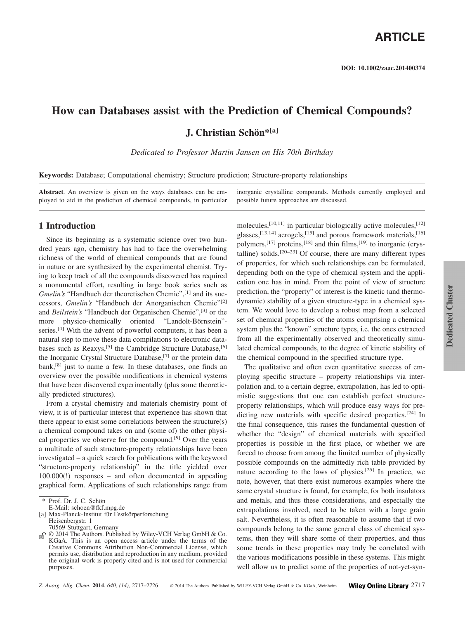# **How can Databases assist with the Prediction of Chemical Compounds?**

**J. Christian Schön\*[a]**

*Dedicated to Professor Martin Jansen on His 70th Birthday*

**Keywords:** Database; Computational chemistry; Structure prediction; Structure-property relationships

**Abstract**. An overview is given on the ways databases can be employed to aid in the prediction of chemical compounds, in particular

inorganic crystalline compounds. Methods currently employed and possible future approaches are discussed.

### **1 Introduction**

Since its beginning as a systematic science over two hundred years ago, chemistry has had to face the overwhelming richness of the world of chemical compounds that are found in nature or are synthesized by the experimental chemist. Trying to keep track of all the compounds discovered has required a monumental effort, resulting in large book series such as *Gmelin's* "Handbuch der theoretischen Chemie",<sup>[1]</sup> and its successors, *Gmelin's* "Handbuch der Anorganischen Chemie"[2] and *Beilstein's* "Handbuch der Organischen Chemie",[3] or the more physico-chemically oriented "Landolt-Börnstein" series.[4] With the advent of powerful computers, it has been a natural step to move these data compilations to electronic databases such as Reaxys,<sup>[5]</sup> the Cambridge Structure Database,<sup>[6]</sup> the Inorganic Crystal Structure Database,[7] or the protein data bank,[8] just to name a few. In these databases, one finds an overview over the possible modifications in chemical systems that have been discovered experimentally (plus some theoretically predicted structures).

From a crystal chemistry and materials chemistry point of view, it is of particular interest that experience has shown that there appear to exist some correlations between the structure(s) a chemical compound takes on and (some of) the other physical properties we observe for the compound.[9] Over the years a multitude of such structure-property relationships have been investigated – a quick search for publications with the keyword "structure-property relationship" in the title yielded over 100.000(!) responses – and often documented in appealing graphical form. Applications of such relationships range from molecules,<sup> $[10,11]$ </sup> in particular biologically active molecules, $[12]$ glasses,<sup>[13,14]</sup> aerogels,<sup>[15]</sup> and porous framework materials,<sup>[16]</sup> polymers,<sup>[17]</sup> proteins,<sup>[18]</sup> and thin films,<sup>[19]</sup> to inorganic (crystalline) solids.<sup>[20–23]</sup> Of course, there are many different types of properties, for which such relationships can be formulated, depending both on the type of chemical system and the application one has in mind. From the point of view of structure prediction, the "property" of interest is the kinetic (and thermodynamic) stability of a given structure-type in a chemical system. We would love to develop a robust map from a selected set of chemical properties of the atoms comprising a chemical system plus the "known" structure types, i.e. the ones extracted from all the experimentally observed and theoretically simulated chemical compounds, to the degree of kinetic stability of the chemical compound in the specified structure type.

The qualitative and often even quantitative success of employing specific structure – property relationships via interpolation and, to a certain degree, extrapolation, has led to optimistic suggestions that one can establish perfect structureproperty relationships, which will produce easy ways for predicting new materials with specific desired properties.<sup>[24]</sup> In the final consequence, this raises the fundamental question of whether the "design" of chemical materials with specified properties is possible in the first place, or whether we are forced to choose from among the limited number of physically possible compounds on the admittedly rich table provided by nature according to the laws of physics.[25] In practice, we note, however, that there exist numerous examples where the same crystal structure is found, for example, for both insulators and metals, and thus these considerations, and especially the extrapolations involved, need to be taken with a large grain salt. Nevertheless, it is often reasonable to assume that if two compounds belong to the same general class of chemical systems, then they will share some of their properties, and thus some trends in these properties may truly be correlated with the various modifications possible in these systems. This might well allow us to predict some of the properties of not-yet-syn-

Prof. Dr. J. C. Schön

E-Mail: schoen@fkf.mpg.de

<sup>[</sup>a] Max-Planck-Institut für Festkörperforschung Heisenbergstr. 1

<sup>70569</sup> Stuttgart, Germany

<sup>© 2014</sup> The Authors. Published by Wiley-VCH Verlag GmbH & Co. KGaA. This is an open access article under the terms of the Creative Commons Attribution Non-Commercial License, which permits use, distribution and reproduction in any medium, provided the original work is properly cited and is not used for commercial purposes.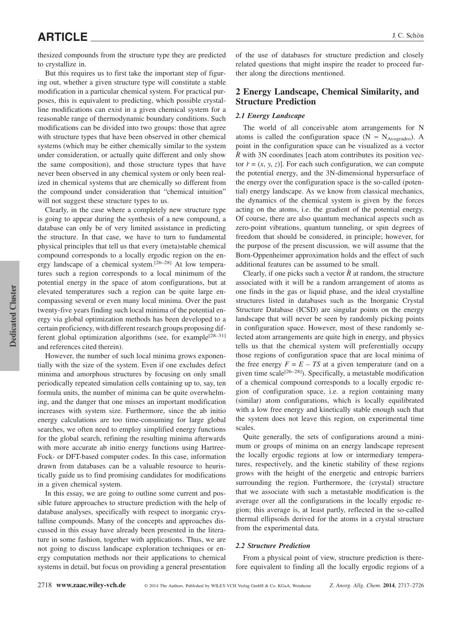But this requires us to first take the important step of figuring out, whether a given structure type will constitute a stable modification in a particular chemical system. For practical purposes, this is equivalent to predicting, which possible crystalline modifications can exist in a given chemical system for a reasonable range of thermodynamic boundary conditions. Such modifications can be divided into two groups: those that agree with structure types that have been observed in other chemical systems (which may be either chemically similar to the system under consideration, or actually quite different and only show the same composition), and those structure types that have never been observed in any chemical system or only been realized in chemical systems that are chemically so different from the compound under consideration that "chemical intuition" will not suggest these structure types to us.

Clearly, in the case where a completely new structure type is going to appear during the synthesis of a new compound, a database can only be of very limited assistance in predicting the structure. In that case, we have to turn to fundamental physical principles that tell us that every (meta)stable chemical compound corresponds to a locally ergodic region on the energy landscape of a chemical system.[26–28] At low temperatures such a region corresponds to a local minimum of the potential energy in the space of atom configurations, but at elevated temperatures such a region can be quite large encompassing several or even many local minima. Over the past twenty-five years finding such local minima of the potential energy via global optimization methods has been developed to a certain proficiency, with different research groups proposing different global optimization algorithms (see, for example<sup>[28–31]</sup> and references cited therein).

However, the number of such local minima grows exponentially with the size of the system. Even if one excludes defect minima and amorphous structures by focusing on only small periodically repeated simulation cells containing up to, say, ten formula units, the number of minima can be quite overwhelming, and the danger that one misses an important modification increases with system size. Furthermore, since the ab initio energy calculations are too time-consuming for large global searches, we often need to employ simplified energy functions for the global search, refining the resulting minima afterwards with more accurate ab initio energy functions using Hartree-Fock- or DFT-based computer codes. In this case, information drawn from databases can be a valuable resource to heuristically guide us to find promising candidates for modifications in a given chemical system.

In this essay, we are going to outline some current and possible future approaches to structure prediction with the help of database analyses, specifically with respect to inorganic crystalline compounds. Many of the concepts and approaches discussed in this essay have already been presented in the literature in some fashion, together with applications. Thus, we are not going to discuss landscape exploration techniques or energy computation methods nor their applications to chemical systems in detail, but focus on providing a general presentation of the use of databases for structure prediction and closely related questions that might inspire the reader to proceed further along the directions mentioned.

## **2 Energy Landscape, Chemical Similarity, and Structure Prediction**

### *2.1 Energy Landscape*

The world of all conceivable atom arrangements for N atoms is called the configuration space ( $N \approx N_{Avogradro}$ ). A point in the configuration space can be visualized as a vector  $\dot{R}$  with 3N coordinates [each atom contributes its position vector  $\dot{r} = (x, y, z)$ . For each such configuration, we can compute the potential energy, and the 3N-dimensional hypersurface of the energy over the configuration space is the so-called (potential) energy landscape. As we know from classical mechanics, the dynamics of the chemical system is given by the forces acting on the atoms, i.e. the gradient of the potential energy. Of course, there are also quantum mechanical aspects such as zero-point vibrations, quantum tunneling, or spin degrees of freedom that should be considered, in principle; however, for the purpose of the present discussion, we will assume that the Born-Oppenheimer approximation holds and the effect of such additional features can be assumed to be small.

Clearly, if one picks such a vector  $\dot{R}$  at random, the structure associated with it will be a random arrangement of atoms as one finds in the gas or liquid phase, and the ideal crystalline structures listed in databases such as the Inorganic Crystal Structure Database (ICSD) are singular points on the energy landscape that will never be seen by randomly picking points in configuration space. However, most of these randomly selected atom arrangements are quite high in energy, and physics tells us that the chemical system will preferentially occupy those regions of configuration space that are local minima of the free energy  $F = E - TS$  at a given temperature (and on a given time scale<sup>[26–28]</sup>). Specifically, a metastable modification of a chemical compound corresponds to a locally ergodic region of configuration space, i.e. a region containing many (similar) atom configurations, which is locally equilibrated with a low free energy and kinetically stable enough such that the system does not leave this region, on experimental time scales.

Quite generally, the sets of configurations around a minimum or groups of minima on an energy landscape represent the locally ergodic regions at low or intermediary temperatures, respectively, and the kinetic stability of these regions grows with the height of the energetic and entropic barriers surrounding the region. Furthermore, the (crystal) structure that we associate with such a metastable modification is the average over all the configurations in the locally ergodic region; this average is, at least partly, reflected in the so-called thermal ellipsoids derived for the atoms in a crystal structure from the experimental data.

### *2.2 Structure Prediction*

From a physical point of view, structure prediction is therefore equivalent to finding all the locally ergodic regions of a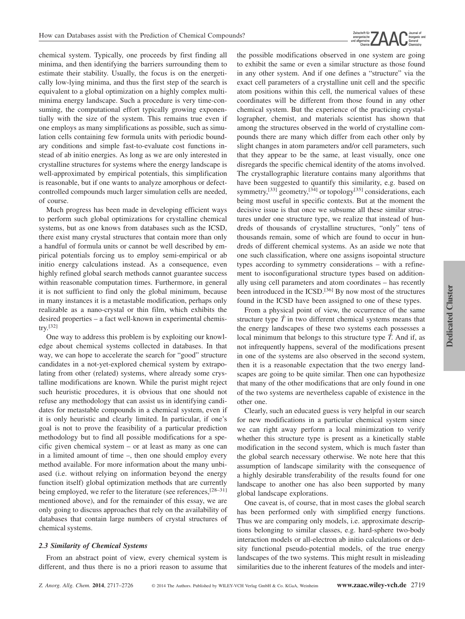

chemical system. Typically, one proceeds by first finding all minima, and then identifying the barriers surrounding them to estimate their stability. Usually, the focus is on the energetically low-lying minima, and thus the first step of the search is equivalent to a global optimization on a highly complex multiminima energy landscape. Such a procedure is very time-consuming, the computational effort typically growing exponentially with the size of the system. This remains true even if one employs as many simplifications as possible, such as simulation cells containing few formula units with periodic boundary conditions and simple fast-to-evaluate cost functions instead of ab initio energies. As long as we are only interested in crystalline structures for systems where the energy landscape is well-approximated by empirical potentials, this simplification is reasonable, but if one wants to analyze amorphous or defectcontrolled compounds much larger simulation cells are needed, of course.

Much progress has been made in developing efficient ways to perform such global optimizations for crystalline chemical systems, but as one knows from databases such as the ICSD, there exist many crystal structures that contain more than only a handful of formula units or cannot be well described by empirical potentials forcing us to employ semi-empirical or ab initio energy calculations instead. As a consequence, even highly refined global search methods cannot guarantee success within reasonable computation times. Furthermore, in general it is not sufficient to find only the global minimum, because in many instances it is a metastable modification, perhaps only realizable as a nano-crystal or thin film, which exhibits the desired properties – a fact well-known in experimental chemis- $\text{trv.}$ <sup>[32]</sup>

One way to address this problem is by exploiting our knowledge about chemical systems collected in databases. In that way, we can hope to accelerate the search for "good" structure candidates in a not-yet-explored chemical system by extrapolating from other (related) systems, where already some crystalline modifications are known. While the purist might reject such heuristic procedures, it is obvious that one should not refuse any methodology that can assist us in identifying candidates for metastable compounds in a chemical system, even if it is only heuristic and clearly limited. In particular, if one's goal is not to prove the feasibility of a particular prediction methodology but to find all possible modifications for a specific given chemical system – or at least as many as one can in a limited amount of time –, then one should employ every method available. For more information about the many unbiased (i.e. without relying on information beyond the energy function itself) global optimization methods that are currently being employed, we refer to the literature (see references,<sup>[28–31]</sup> mentioned above), and for the remainder of this essay, we are only going to discuss approaches that rely on the availability of databases that contain large numbers of crystal structures of chemical systems.

### *2.3 Similarity of Chemical Systems*

From an abstract point of view, every chemical system is different, and thus there is no a priori reason to assume that

the possible modifications observed in one system are going to exhibit the same or even a similar structure as those found in any other system. And if one defines a "structure" via the exact cell parameters of a crystalline unit cell and the specific atom positions within this cell, the numerical values of these coordinates will be different from those found in any other chemical system. But the experience of the practicing crystallographer, chemist, and materials scientist has shown that among the structures observed in the world of crystalline compounds there are many which differ from each other only by slight changes in atom parameters and/or cell parameters, such that they appear to be the same, at least visually, once one disregards the specific chemical identity of the atoms involved. The crystallographic literature contains many algorithms that have been suggested to quantify this similarity, e.g. based on symmetry,<sup>[33]</sup> geometry,<sup>[34]</sup> or topology<sup>[35]</sup> considerations, each being most useful in specific contexts. But at the moment the decisive issue is that once we subsume all these similar structures under one structure type, we realize that instead of hundreds of thousands of crystalline structures, "only" tens of thousands remain, some of which are found to occur in hundreds of different chemical systems. As an aside we note that one such classification, where one assigns isopointal structure types according to symmetry considerations – with a refinement to isoconfigurational structure types based on additionally using cell parameters and atom coordinates – has recently been introduced in the ICSD.<sup>[36]</sup> By now most of the structures found in the ICSD have been assigned to one of these types.

From a physical point of view, the occurrence of the same structure type  $\hat{T}$  in two different chemical systems means that the energy landscapes of these two systems each possesses a local minimum that belongs to this structure type  $\acute{T}$ . And if, as not infrequently happens, several of the modifications present in one of the systems are also observed in the second system, then it is a reasonable expectation that the two energy landscapes are going to be quite similar. Then one can hypothesize that many of the other modifications that are only found in one of the two systems are nevertheless capable of existence in the other one.

Clearly, such an educated guess is very helpful in our search for new modifications in a particular chemical system since we can right away perform a local minimization to verify whether this structure type is present as a kinetically stable modification in the second system, which is much faster than the global search necessary otherwise. We note here that this assumption of landscape similarity with the consequence of a highly desirable transferability of the results found for one landscape to another one has also been supported by many global landscape explorations.

One caveat is, of course, that in most cases the global search has been performed only with simplified energy functions. Thus we are comparing only models, i.e. approximate descriptions belonging to similar classes, e.g. hard-sphere two-body interaction models or all-electron ab initio calculations or density functional pseudo-potential models, of the true energy landscapes of the two systems. This might result in misleading similarities due to the inherent features of the models and inter-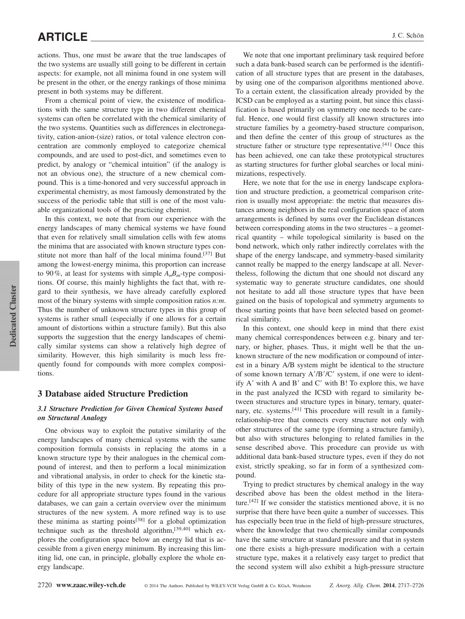# **ARTICLE** J. C. Schön

actions. Thus, one must be aware that the true landscapes of the two systems are usually still going to be different in certain aspects: for example, not all minima found in one system will be present in the other, or the energy rankings of those minima present in both systems may be different.

From a chemical point of view, the existence of modifications with the same structure type in two different chemical systems can often be correlated with the chemical similarity of the two systems. Quantities such as differences in electronegativity, cation-anion-(size) ratios, or total valence electron concentration are commonly employed to categorize chemical compounds, and are used to post-dict, and sometimes even to predict, by analogy or "chemical intuition" (if the analogy is not an obvious one), the structure of a new chemical compound. This is a time-honored and very successful approach in experimental chemistry, as most famously demonstrated by the success of the periodic table that still is one of the most valuable organizational tools of the practicing chemist.

In this context, we note that from our experience with the energy landscapes of many chemical systems we have found that even for relatively small simulation cells with few atoms the minima that are associated with known structure types constitute not more than half of the local minima found.<sup>[37]</sup> But among the lowest-energy minima, this proportion can increase to 90%, at least for systems with simple *AnBm*-type compositions. Of course, this mainly highlights the fact that, with regard to their synthesis, we have already carefully explored most of the binary systems with simple composition ratios *n:m*. Thus the number of unknown structure types in this group of systems is rather small (especially if one allows for a certain amount of distortions within a structure family). But this also supports the suggestion that the energy landscapes of chemically similar systems can show a relatively high degree of similarity. However, this high similarity is much less frequently found for compounds with more complex compositions.

### **3 Database aided Structure Prediction**

### *3.1 Structure Prediction for Given Chemical Systems based on Structural Analogy*

One obvious way to exploit the putative similarity of the energy landscapes of many chemical systems with the same composition formula consists in replacing the atoms in a known structure type by their analogues in the chemical compound of interest, and then to perform a local minimization and vibrational analysis, in order to check for the kinetic stability of this type in the new system. By repeating this procedure for all appropriate structure types found in the various databases, we can gain a certain overview over the minimum structures of the new system. A more refined way is to use these minima as starting points $[38]$  for a global optimization technique such as the threshold algorithm,[39,40] which explores the configuration space below an energy lid that is accessible from a given energy minimum. By increasing this limiting lid, one can, in principle, globally explore the whole energy landscape.

We note that one important preliminary task required before such a data bank-based search can be performed is the identification of all structure types that are present in the databases, by using one of the comparison algorithms mentioned above. To a certain extent, the classification already provided by the ICSD can be employed as a starting point, but since this classification is based primarily on symmetry one needs to be careful. Hence, one would first classify all known structures into structure families by a geometry-based structure comparison, and then define the center of this group of structures as the structure father or structure type representative.[41] Once this has been achieved, one can take these prototypical structures as starting structures for further global searches or local minimizations, respectively.

Here, we note that for the use in energy landscape exploration and structure prediction, a geometrical comparison criterion is usually most appropriate: the metric that measures distances among neighbors in the real configuration space of atom arrangements is defined by sums over the Euclidean distances between corresponding atoms in the two structures – a geometrical quantity – while topological similarity is based on the bond network, which only rather indirectly correlates with the shape of the energy landscape, and symmetry-based similarity cannot really be mapped to the energy landscape at all. Nevertheless, following the dictum that one should not discard any systematic way to generate structure candidates, one should not hesitate to add all those structure types that have been gained on the basis of topological and symmetry arguments to those starting points that have been selected based on geometrical similarity.

In this context, one should keep in mind that there exist many chemical correspondences between e.g. binary and ternary, or higher, phases. Thus, it might well be that the unknown structure of the new modification or compound of interest in a binary A/B system might be identical to the structure of some known ternary A'/B'/C' system, if one were to identify  $A'$  with  $A$  and  $B'$  and  $C'$  with  $B!$  To explore this, we have in the past analyzed the ICSD with regard to similarity between structures and structure types in binary, ternary, quaternary, etc. systems.<sup>[41]</sup> This procedure will result in a familyrelationship-tree that connects every structure not only with other structures of the same type (forming a structure family), but also with structures belonging to related families in the sense described above. This procedure can provide us with additional data bank-based structure types, even if they do not exist, strictly speaking, so far in form of a synthesized compound.

Trying to predict structures by chemical analogy in the way described above has been the oldest method in the literature.[42] If we consider the statistics mentioned above, it is no surprise that there have been quite a number of successes. This has especially been true in the field of high-pressure structures, where the knowledge that two chemically similar compounds have the same structure at standard pressure and that in system one there exists a high-pressure modification with a certain structure type, makes it a relatively easy target to predict that the second system will also exhibit a high-pressure structure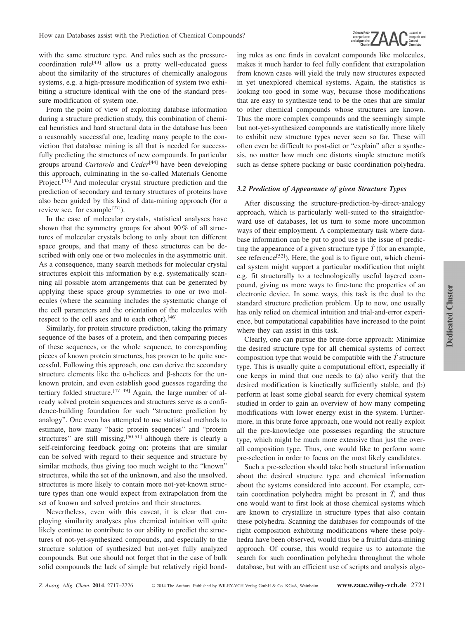

with the same structure type. And rules such as the pressurecoordination rule<sup>[43]</sup> allow us a pretty well-educated guess about the similarity of the structures of chemically analogous systems, e.g. a high-pressure modification of system two exhibiting a structure identical with the one of the standard pressure modification of system one.

From the point of view of exploiting database information during a structure prediction study, this combination of chemical heuristics and hard structural data in the database has been a reasonably successful one, leading many people to the conviction that database mining is all that is needed for successfully predicting the structures of new compounds. In particular groups around *Curtarolo* and *Ceder*[44] have been developing this approach, culminating in the so-called Materials Genome Project.<sup>[45]</sup> And molecular crystal structure prediction and the prediction of secondary and ternary structures of proteins have also been guided by this kind of data-mining approach (for a review see, for example<sup>[27]</sup>).

In the case of molecular crystals, statistical analyses have shown that the symmetry groups for about 90% of all structures of molecular crystals belong to only about ten different space groups, and that many of these structures can be described with only one or two molecules in the asymmetric unit. As a consequence, many search methods for molecular crystal structures exploit this information by e.g. systematically scanning all possible atom arrangements that can be generated by applying these space group symmetries to one or two molecules (where the scanning includes the systematic change of the cell parameters and the orientation of the molecules with respect to the cell axes and to each other).<sup>[46]</sup>

Similarly, for protein structure prediction, taking the primary sequence of the bases of a protein, and then comparing pieces of these sequences, or the whole sequence, to corresponding pieces of known protein structures, has proven to be quite successful. Following this approach, one can derive the secondary structure elements like the  $\alpha$ -helices and  $\beta$ -sheets for the unknown protein, and even establish good guesses regarding the tertiary folded structure.[47–49] Again, the large number of already solved protein sequences and structures serve as a confidence-building foundation for such "structure prediction by analogy". One even has attempted to use statistical methods to estimate, how many "basic protein sequences" and "protein structures" are still missing,<sup>[50,51]</sup> although there is clearly a self-reinforcing feedback going on: proteins that are similar can be solved with regard to their sequence and structure by similar methods, thus giving too much weight to the "known" structures, while the set of the unknown, and also the unsolved, structures is more likely to contain more not-yet-known structure types than one would expect from extrapolation from the set of known and solved proteins and their structures.

Nevertheless, even with this caveat, it is clear that employing similarity analyses plus chemical intuition will quite likely continue to contribute to our ability to predict the structures of not-yet-synthesized compounds, and especially to the structure solution of synthesized but not-yet fully analyzed compounds. But one should not forget that in the case of bulk solid compounds the lack of simple but relatively rigid bonding rules as one finds in covalent compounds like molecules, makes it much harder to feel fully confident that extrapolation from known cases will yield the truly new structures expected in yet unexplored chemical systems. Again, the statistics is looking too good in some way, because those modifications that are easy to synthesize tend to be the ones that are similar to other chemical compounds whose structures are known. Thus the more complex compounds and the seemingly simple but not-yet-synthesized compounds are statistically more likely to exhibit new structure types never seen so far. These will often even be difficult to post-dict or "explain" after a synthesis, no matter how much one distorts simple structure motifs such as dense sphere packing or basic coordination polyhedra.

#### *3.2 Prediction of Appearance of given Structure Types*

After discussing the structure-prediction-by-direct-analogy approach, which is particularly well-suited to the straightforward use of databases, let us turn to some more uncommon ways of their employment. A complementary task where database information can be put to good use is the issue of predicting the appearance of a given structure type  $\acute{T}$  (for an example, see reference<sup>[52]</sup>). Here, the goal is to figure out, which chemical system might support a particular modification that might e.g. fit structurally to a technologically useful layered compound, giving us more ways to fine-tune the properties of an electronic device. In some ways, this task is the dual to the standard structure prediction problem. Up to now, one usually has only relied on chemical intuition and trial-and-error experience, but computational capabilities have increased to the point where they can assist in this task.

Clearly, one can pursue the brute-force approach: Minimize the desired structure type for all chemical systems of correct composition type that would be compatible with the  $\hat{T}$  structure type. This is usually quite a computational effort, especially if one keeps in mind that one needs to (a) also verify that the desired modification is kinetically sufficiently stable, and (b) perform at least some global search for every chemical system studied in order to gain an overview of how many competing modifications with lower energy exist in the system. Furthermore, in this brute force approach, one would not really exploit all the pre-knowledge one possesses regarding the structure type, which might be much more extensive than just the overall composition type. Thus, one would like to perform some pre-selection in order to focus on the most likely candidates.

Such a pre-selection should take both structural information about the desired structure type and chemical information about the systems considered into account. For example, certain coordination polyhedra might be present in  $\hat{T}$ , and thus one would want to first look at those chemical systems which are known to crystallize in structure types that also contain these polyhedra. Scanning the databases for compounds of the right composition exhibiting modifications where these polyhedra have been observed, would thus be a fruitful data-mining approach. Of course, this would require us to automate the search for such coordination polyhedra throughout the whole database, but with an efficient use of scripts and analysis algo-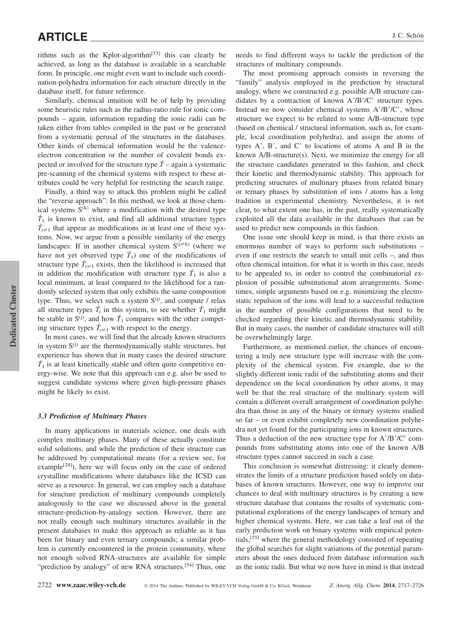# **ARTICLE** J. C. Schön

rithms such as the Kplot-algorithm<sup>[53]</sup> this can clearly be achieved, as long as the database is available in a searchable form. In principle, one might even want to include such coordination-polyhedra information for each structure directly in the database itself, for future reference.

Similarly, chemical intuition will be of help by providing some heuristic rules such as the radius-ratio rule for ionic compounds – again, information regarding the ionic radii can be taken either from tables compiled in the past or be generated from a systematic perusal of the structures in the databases. Other kinds of chemical information would be the valenceelectron concentration or the number of covalent bonds expected or involved for the structure type  $\acute{T}$  – again a systematic pre-scanning of the chemical systems with respect to these attributes could be very helpful for restricting the search range.

Finally, a third way to attack this problem might be called the "reverse approach": In this method, we look at those chemical systems  $S^{(k)}$  where a modification with the desired type  $\hat{T}_1$  is known to exist, and find all additional structure types  $\hat{T}_{i \neq 1}$  that appear as modifications in at least one of these systems. Now, we argue from a possible similarity of the energy landscapes: If in another chemical system  $S^{(j\neq k)}$  (where we have not yet observed type  $\hat{T}_1$ ) one of the modifications of structure type  $\hat{T}_{i \neq 1}$  exists, then the likelihood is increased that in addition the modification with structure type  $\tilde{T}_1$  is also a local minimum, at least compared to the likelihood for a randomly selected system that only exhibits the same composition type. Thus, we select such a system  $S^{(j)}$ , and compute / relax all structure types  $\hat{T}_i$  in this system, to see whether  $\hat{T}_1$  might be stable in  $S^{(j)}$ , and how  $\hat{T}_1$  compares with the other competing structure types  $\acute{T}_{i \neq 1}$  with respect to the energy.

In most cases, we will find that the already known structures in system  $S^{(j)}$  are the thermodynamically stable structures, but experience has shown that in many cases the desired structure  $\hat{T}_1$  is at least kinetically stable and often quite competitive energy-wise. We note that this approach can e.g. also be used to suggest candidate systems where given high-pressure phases might be likely to exist.

### *3.3 Prediction of Multinary Phases*

In many applications in materials science, one deals with complex multinary phases. Many of these actually constitute solid solutions, and while the prediction of their structure can be addressed by computational means (for a review see, for example<sup>[28]</sup>), here we will focus only on the case of ordered crystalline modifications where databases like the ICSD can serve as a resource. In general, we can employ such a database for structure prediction of multinary compounds completely analogously to the case we discussed above in the general structure-prediction-by-analogy section. However, there are not really enough such multinary structures available in the present databases to make this approach as reliable as it has been for binary and even ternary compounds; a similar problem is currently encountered in the protein community, where not enough solved RNA-structures are available for simple "prediction by analogy" of new RNA structures.<sup>[54]</sup> Thus, one needs to find different ways to tackle the prediction of the structures of multinary compounds.

The most promising approach consists in reversing the "family" analysis employed in the prediction by structural analogy, where we constructed e.g. possible A/B structure candidates by a contraction of known  $A'/B'/C'$  structure types. Instead we now consider chemical systems  $A'/B'/C'$ , whose structure we expect to be related to some A/B-structure type (based on chemical / structural information, such as, for example, local coordination polyhedra), and assign the atoms of types  $A'$ ,  $B'$ , and  $C'$  to locations of atoms  $A$  and  $B$  in the known A/B-structure(s). Next, we minimize the energy for all the structure candidates generated in this fashion, and check their kinetic and thermodynamic stability. This approach for predicting structures of multinary phases from related binary or ternary phases by substitution of ions / atoms has a long tradition in experimental chemistry. Nevertheless, it is not clear, to what extent one has, in the past, really systematically exploited all the data available in the databases that can be used to predict new compounds in this fashion.

One issue one should keep in mind, is that there exists an enormous number of ways to perform such substitutions – even if one restricts the search to small unit cells –, and thus often chemical intuition, for what it is worth in this case, needs to be appealed to, in order to control the combinatorial explosion of possible substitutional atom arrangements. Sometimes, simple arguments based on e.g. minimizing the electrostatic repulsion of the ions will lead to a successful reduction in the number of possible configurations that need to be checked regarding their kinetic and thermodynamic stability. But in many cases, the number of candidate structures will still be overwhelmingly large.

Furthermore, as mentioned earlier, the chances of encountering a truly new structure type will increase with the complexity of the chemical system. For example, due to the slightly different ionic radii of the substituting atoms and their dependence on the local coordination by other atoms, it may well be that the real structure of the multinary system will contain a different overall arrangement of coordination polyhedra than those in any of the binary or ternary systems studied so far – or even exhibit completely new coordination polyhedra not yet found for the participating ions in known structures. Thus a deduction of the new structure type for  $A'/B'/C'$  compounds from substituting atoms into one of the known A/B structure types cannot succeed in such a case.

This conclusion is somewhat distressing: it clearly demonstrates the limits of a structure prediction based solely on databases of known structures. However, one way to improve our chances to deal with multinary structures is by creating a new structure database that contains the results of systematic computational explorations of the energy landscapes of ternary and higher chemical systems. Here, we can take a leaf out of the early prediction work on binary systems with empirical potentials,[55] where the general methodology consisted of repeating the global searches for slight variations of the potential parameters about the ones deduced from database information such as the ionic radii. But what we now have in mind is that instead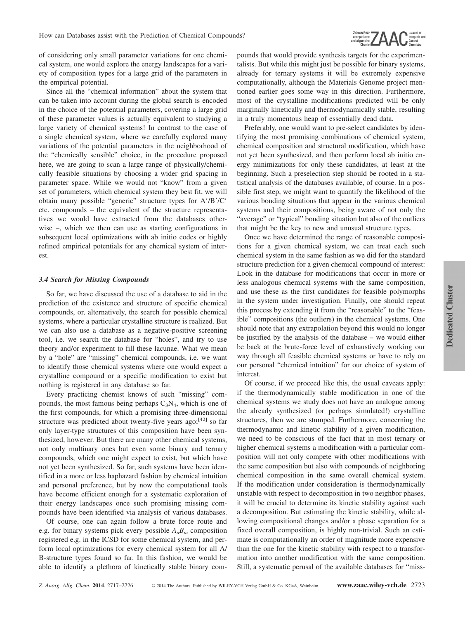

of considering only small parameter variations for one chemical system, one would explore the energy landscapes for a variety of composition types for a large grid of the parameters in the empirical potential.

Since all the "chemical information" about the system that can be taken into account during the global search is encoded in the choice of the potential parameters, covering a large grid of these parameter values is actually equivalent to studying a large variety of chemical systems! In contrast to the case of a single chemical system, where we carefully explored many variations of the potential parameters in the neighborhood of the "chemically sensible" choice, in the procedure proposed here, we are going to scan a large range of physically/chemically feasible situations by choosing a wider grid spacing in parameter space. While we would not "know" from a given set of parameters, which chemical system they best fit, we will obtain many possible "generic" structure types for A'/B'/C' etc. compounds – the equivalent of the structure representatives we would have extracted from the databases otherwise –, which we then can use as starting configurations in subsequent local optimizations with ab initio codes or highly refined empirical potentials for any chemical system of interest.

#### *3.4 Search for Missing Compounds*

So far, we have discussed the use of a database to aid in the prediction of the existence and structure of specific chemical compounds, or, alternatively, the search for possible chemical systems, where a particular crystalline structure is realized. But we can also use a database as a negative-positive screening tool, i.e. we search the database for "holes", and try to use theory and/or experiment to fill these lacunae. What we mean by a "hole" are "missing" chemical compounds, i.e. we want to identify those chemical systems where one would expect a crystalline compound or a specific modification to exist but nothing is registered in any database so far.

Every practicing chemist knows of such "missing" compounds, the most famous being perhaps  $C_3N_4$ , which is one of the first compounds, for which a promising three-dimensional structure was predicted about twenty-five years ago;<sup>[42]</sup> so far only layer-type structures of this composition have been synthesized, however. But there are many other chemical systems, not only multinary ones but even some binary and ternary compounds, which one might expect to exist, but which have not yet been synthesized. So far, such systems have been identified in a more or less haphazard fashion by chemical intuition and personal preference, but by now the computational tools have become efficient enough for a systematic exploration of their energy landscapes once such promising missing compounds have been identified via analysis of various databases.

Of course, one can again follow a brute force route and e.g. for binary systems pick every possible  $A_nB_m$  composition registered e.g. in the ICSD for some chemical system, and perform local optimizations for every chemical system for all A/ B-structure types found so far. In this fashion, we would be able to identify a plethora of kinetically stable binary compounds that would provide synthesis targets for the experimentalists. But while this might just be possible for binary systems, already for ternary systems it will be extremely expensive computationally, although the Materials Genome project mentioned earlier goes some way in this direction. Furthermore, most of the crystalline modifications predicted will be only marginally kinetically and thermodynamically stable, resulting in a truly momentous heap of essentially dead data.

Preferably, one would want to pre-select candidates by identifying the most promising combinations of chemical system, chemical composition and structural modification, which have not yet been synthesized, and then perform local ab initio energy minimizations for only these candidates, at least at the beginning. Such a preselection step should be rooted in a statistical analysis of the databases available, of course. In a possible first step, we might want to quantify the likelihood of the various bonding situations that appear in the various chemical systems and their compositions, being aware of not only the "average" or "typical" bonding situation but also of the outliers that might be the key to new and unusual structure types.

Once we have determined the range of reasonable compositions for a given chemical system, we can treat each such chemical system in the same fashion as we did for the standard structure prediction for a given chemical compound of interest: Look in the database for modifications that occur in more or less analogous chemical systems with the same composition, and use these as the first candidates for feasible polymorphs in the system under investigation. Finally, one should repeat this process by extending it from the "reasonable" to the "feasible" compositions (the outliers) in the chemical systems. One should note that any extrapolation beyond this would no longer be justified by the analysis of the database – we would either be back at the brute-force level of exhaustively working our way through all feasible chemical systems or have to rely on our personal "chemical intuition" for our choice of system of interest.

Of course, if we proceed like this, the usual caveats apply: if the thermodynamically stable modification in one of the chemical systems we study does not have an analogue among the already synthesized (or perhaps simulated!) crystalline structures, then we are stumped. Furthermore, concerning the thermodynamic and kinetic stability of a given modification, we need to be conscious of the fact that in most ternary or higher chemical systems a modification with a particular composition will not only compete with other modifications with the same composition but also with compounds of neighboring chemical composition in the same overall chemical system. If the modification under consideration is thermodynamically unstable with respect to decomposition in two neighbor phases, it will be crucial to determine its kinetic stability against such a decomposition. But estimating the kinetic stability, while allowing compositional changes and/or a phase separation for a fixed overall composition, is highly non-trivial. Such an estimate is computationally an order of magnitude more expensive than the one for the kinetic stability with respect to a transformation into another modification with the same composition. Still, a systematic perusal of the available databases for "miss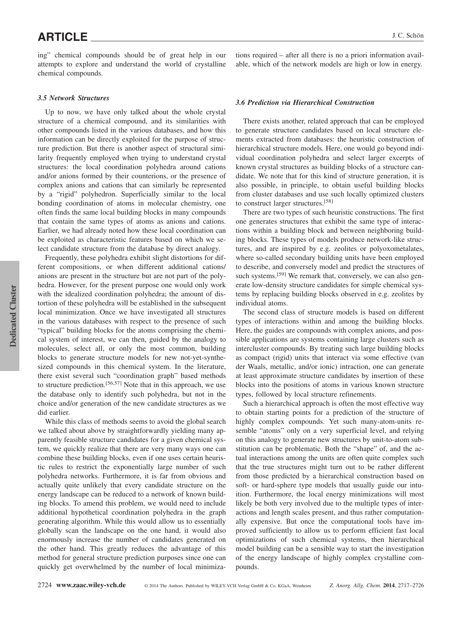ing" chemical compounds should be of great help in our attempts to explore and understand the world of crystalline chemical compounds.

### *3.5 Network Structures*

Up to now, we have only talked about the whole crystal structure of a chemical compound, and its similarities with other compounds listed in the various databases, and how this information can be directly exploited for the purpose of structure prediction. But there is another aspect of structural similarity frequently employed when trying to understand crystal structures: the local coordination polyhedra around cations and/or anions formed by their counterions, or the presence of complex anions and cations that can similarly be represented by a "rigid" polyhedron. Superficially similar to the local bonding coordination of atoms in molecular chemistry, one often finds the same local building blocks in many compounds that contain the same types of atoms as anions and cations. Earlier, we had already noted how these local coordination can be exploited as characteristic features based on which we select candidate structure from the database by direct analogy.

Frequently, these polyhedra exhibit slight distortions for different compositions, or when different additional cations/ anions are present in the structure but are not part of the polyhedra. However, for the present purpose one would only work with the idealized coordination polyhedra; the amount of distortion of these polyhedra will be established in the subsequent local minimization. Once we have investigated all structures in the various databases with respect to the presence of such "typical" building blocks for the atoms comprising the chemical system of interest, we can then, guided by the analogy to molecules, select all, or only the most common, building blocks to generate structure models for new not-yet-synthesized compounds in this chemical system. In the literature, there exist several such "coordination graph" based methods to structure prediction.[56,57] Note that in this approach, we use the database only to identify such polyhedra, but not in the choice and/or generation of the new candidate structures as we did earlier.

While this class of methods seems to avoid the global search we talked about above by straightforwardly yielding many apparently feasible structure candidates for a given chemical system, we quickly realize that there are very many ways one can combine these building blocks, even if one uses certain heuristic rules to restrict the exponentially large number of such polyhedra networks. Furthermore, it is far from obvious and actually quite unlikely that every candidate structure on the energy landscape can be reduced to a network of known building blocks. To amend this problem, we would need to include additional hypothetical coordination polyhedra in the graph generating algorithm. While this would allow us to essentially globally scan the landscape on the one hand, it would also enormously increase the number of candidates generated on the other hand. This greatly reduces the advantage of this method for general structure prediction purposes since one can quickly get overwhelmed by the number of local minimizations required – after all there is no a priori information available, which of the network models are high or low in energy.

### *3.6 Prediction via Hierarchical Construction*

There exists another, related approach that can be employed to generate structure candidates based on local structure elements extracted from databases: the heuristic construction of hierarchical structure models. Here, one would go beyond individual coordination polyhedra and select larger excerpts of known crystal structures as building blocks of a structure candidate. We note that for this kind of structure generation, it is also possible, in principle, to obtain useful building blocks from cluster databases and use such locally optimized clusters to construct larger structures.[58]

There are two types of such heuristic constructions. The first one generates structures that exhibit the same type of interactions within a building block and between neighboring building blocks. These types of models produce network-like structures, and are inspired by e.g. zeolites or polyoxometalates, where so-called secondary building units have been employed to describe, and conversely model and predict the structures of such systems.<sup>[59]</sup> We remark that, conversely, we can also generate low-density structure candidates for simple chemical systems by replacing building blocks observed in e.g. zeolites by individual atoms.

The second class of structure models is based on different types of interactions within and among the building blocks. Here, the guides are compounds with complex anions, and possible applications are systems containing large clusters such as intercluster compounds. By treating such large building blocks as compact (rigid) units that interact via some effective (van der Waals, metallic, and/or ionic) intraction, one can generate at least approximate structure candidates by insertion of these blocks into the positions of atoms in various known structure types, followed by local structure refinements.

Such a hierarchical approach is often the most effective way to obtain starting points for a prediction of the structure of highly complex compounds. Yet such many-atom-units resemble "atoms" only on a very superficial level, and relying on this analogy to generate new structures by unit-to-atom substitution can be problematic. Both the "shape" of, and the actual interactions among the units are often quite complex such that the true structures might turn out to be rather different from those predicted by a hierarchical construction based on soft- or hard-sphere type models that usually guide our intuition. Furthermore, the local energy minimizations will most likely be both very involved due to the multiple types of interactions and length scales present, and thus rather computationally expensive. But once the computational tools have improved sufficiently to allow us to perform efficient fast local optimizations of such chemical systems, then hierarchical model building can be a sensible way to start the investigation of the energy landscape of highly complex crystalline compounds.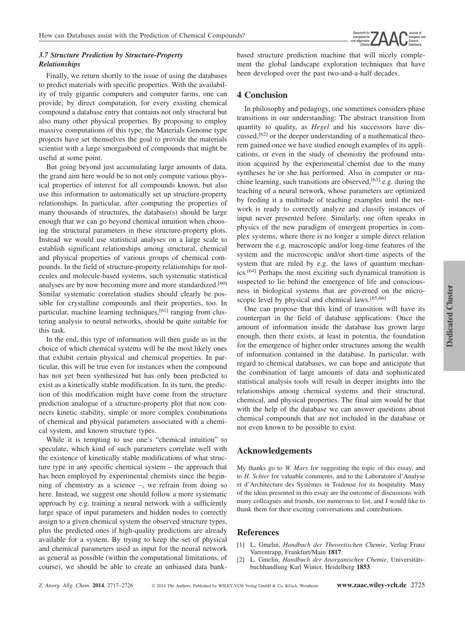

## *3.7 Structure Prediction by Structure-Property Relationships*

Finally, we return shortly to the issue of using the databases to predict materials with specific properties. With the availability of truly gigantic computers and computer farms, one can provide, by direct computation, for every existing chemical compound a database entry that contains not only structural but also many other physical properties. By proposing to employ massive computations of this type, the Materials Genome type projects have set themselves the goal to provide the materials scientist with a large smorgasbord of compounds that might be useful at some point.

But going beyond just accumulating large amounts of data, the grand aim here would be to not only compute various physical properties of interest for all compounds known, but also use this information to automatically set up structure-property relationships. In particular, after computing the properties of many thousands of structures, the database(s) should be large enough that we can go beyond chemical intuition when choosing the structural parameters in these structure-property plots. Instead we would use statistical analyses on a large scale to establish significant relationships among structural, chemical and physical properties of various groups of chemical compounds. In the field of structure-property relationships for molecules and molecule-based systems, such systematic statistical analyses are by now becoming more and more standardized.<sup>[60]</sup> Similar systematic correlation studies should clearly be possible for crystalline compounds and their properties, too. In particular, machine learning techniques,<sup>[61]</sup> ranging from clustering analysis to neural networks, should be quite suitable for this task.

In the end, this type of information will then guide us in the choice of which chemical systems will be the most likely ones that exhibit certain physical and chemical properties. In particular, this will be true even for instances when the compound has not yet been synthesized but has only been predicted to exist as a kinetically stable modification. In its turn, the prediction of this modification might have come from the structure prediction analogue of a structure-property plot that now connects kinetic stability, simple or more complex combinations of chemical and physical parameters associated with a chemical system, and known structure types.

While it is tempting to use one's "chemical intuition" to speculate, which kind of such parameters correlate well with the existence of kinetically stable modifications of what structure type in any specific chemical system – the approach that has been employed by experimental chemists since the beginning of chemistry as a science –, we refrain from doing so here. Instead, we suggest one should follow a more systematic approach by e.g. training a neural network with a sufficiently large space of input parameters and hidden nodes to correctly assign to a given chemical system the observed structure types, plus the predicted ones if high-quality predictions are already available for a system. By trying to keep the set of physical and chemical parameters used as input for the neural network as general as possible (within the computational limitations, of course), we should be able to create an unbiased data bankbased structure prediction machine that will nicely complement the global landscape exploration techniques that have been developed over the past two-and-a-half decades.

# **4 Conclusion**

In philosophy and pedagogy, one sometimes considers phase transitions in our understanding: The abstract transition from quantity to quality, as *Hegel* and his successors have discussed,  $[62]$  or the deeper understanding of a mathematical theorem gained once we have studied enough examples of its applications, or even in the study of chemistry the profound intuition acquired by the experimental chemist due to the many syntheses he or she has performed. Also in computer or machine learning, such transitions are observed,  $[63]$  e.g. during the teaching of a neural network, whose parameters are optimized by feeding it a multitude of teaching examples until the network is ready to correctly analyze and classify instances of input never presented before. Similarly, one often speaks in physics of the new paradigm of emergent properties in complex systems, where there is no longer a simple direct relation between the e.g. macroscopic and/or long-time features of the system and the microscopic and/or short-time aspects of the system that are ruled by e.g. the laws of quantum mechanics.[64] Perhaps the most exciting such dynamical transition is suspected to lie behind the emergence of life and consciousness in biological systems that are governed on the microscopic level by physical and chemical laws.<sup>[65,66]</sup>

One can propose that this kind of transition will have its counterpart in the field of database applications: Once the amount of information inside the database has grown large enough, then there exists, at least in potentia, the foundation for the emergence of higher order structures among the wealth of information contained in the database. In particular, with regard to chemical databases, we can hope and anticipate that the combination of large amounts of data and sophisticated statistical analysis tools will result in deeper insights into the relationships among chemical systems and their structural, chemical, and physical properties. The final aim would be that with the help of the database we can answer questions about chemical compounds that are not included in the database or not even known to be possible to exist.

## **Acknowledgements**

My thanks go to *W. Marx* for suggesting the topic of this essay, and to *H. Schier* for valuable comments, and to the Laboratoire d'Analyse et d'Architecture des Systèmes in Toulouse for its hospitality. Many of the ideas presented in this essay are the outcome of discussions with many colleagues and friends, too numerous to list, and I would like to thank them for their exciting conversations and contributions.

## **References**

- [1] L. Gmelin, *Handbuch der Theoretischen Chemie*, Verlag Franz Varrentrapp, Frankfurt/Main **1817**.
- [2] L. Gmelin, *Handbuch der Anorganischen Chemie*, Universitätsbuchhandlung Karl Winter, Heidelberg **1853**.